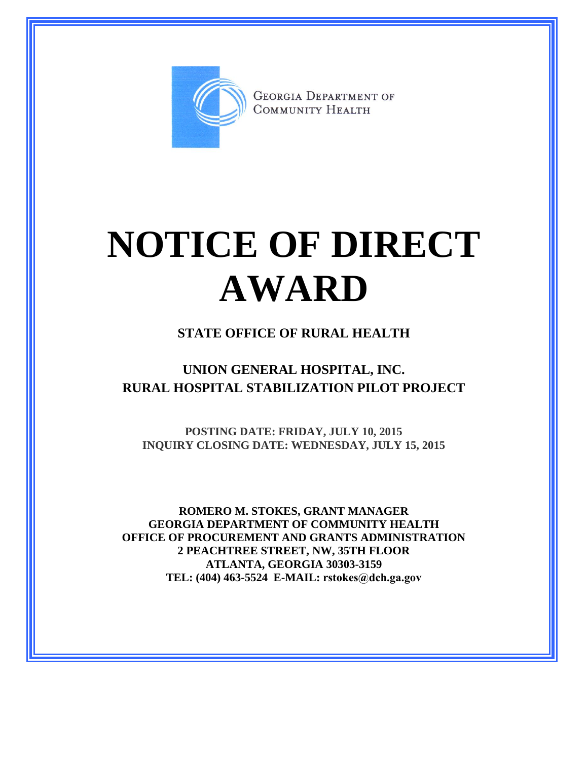

**GEORGIA DEPARTMENT OF** COMMUNITY HEALTH

## **NOTICE OF DIRECT AWARD**

## **STATE OFFICE OF RURAL HEALTH**

## **UNION GENERAL HOSPITAL, INC. RURAL HOSPITAL STABILIZATION PILOT PROJECT**

**POSTING DATE: FRIDAY, JULY 10, 2015 INQUIRY CLOSING DATE: WEDNESDAY, JULY 15, 2015**

**ROMERO M. STOKES, GRANT MANAGER GEORGIA DEPARTMENT OF COMMUNITY HEALTH OFFICE OF PROCUREMENT AND GRANTS ADMINISTRATION 2 PEACHTREE STREET, NW, 35TH FLOOR ATLANTA, GEORGIA 30303-3159 TEL: (404) 463-5524 E-MAIL: rstokes@dch.ga.gov**